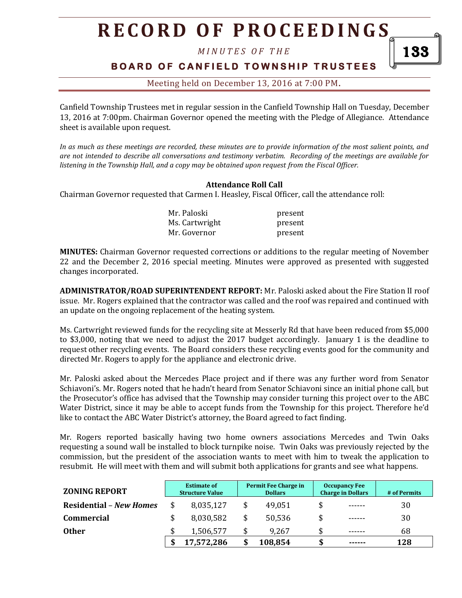*M I N U T E S O F T H E* 

## **B O A R D O F C A N F I E L D T O W N S H I P T R U S T E E S**

Meeting held on December 13, 2016 at 7:00 PM**.**

Canfield Township Trustees met in regular session in the Canfield Township Hall on Tuesday, December 13, 2016 at 7:00pm. Chairman Governor opened the meeting with the Pledge of Allegiance. Attendance sheet is available upon request.

*In as much as these meetings are recorded, these minutes are to provide information of the most salient points, and are not intended to describe all conversations and testimony verbatim. Recording of the meetings are available for listening in the Township Hall, and a copy may be obtained upon request from the Fiscal Officer.* 

### **Attendance Roll Call**

Chairman Governor requested that Carmen I. Heasley, Fiscal Officer, call the attendance roll:

| Mr. Paloski    | present |
|----------------|---------|
| Ms. Cartwright | present |
| Mr. Governor   | present |

**MINUTES:** Chairman Governor requested corrections or additions to the regular meeting of November 22 and the December 2, 2016 special meeting. Minutes were approved as presented with suggested changes incorporated.

**ADMINISTRATOR/ROAD SUPERINTENDENT REPORT:** Mr. Paloski asked about the Fire Station II roof issue. Mr. Rogers explained that the contractor was called and the roof was repaired and continued with an update on the ongoing replacement of the heating system.

Ms. Cartwright reviewed funds for the recycling site at Messerly Rd that have been reduced from \$5,000 to \$3,000, noting that we need to adjust the 2017 budget accordingly. January 1 is the deadline to request other recycling events. The Board considers these recycling events good for the community and directed Mr. Rogers to apply for the appliance and electronic drive.

Mr. Paloski asked about the Mercedes Place project and if there was any further word from Senator Schiavoni's. Mr. Rogers noted that he hadn't heard from Senator Schiavoni since an initial phone call, but the Prosecutor's office has advised that the Township may consider turning this project over to the ABC Water District, since it may be able to accept funds from the Township for this project. Therefore he'd like to contact the ABC Water District's attorney, the Board agreed to fact finding.

Mr. Rogers reported basically having two home owners associations Mercedes and Twin Oaks requesting a sound wall be installed to block turnpike noise. Twin Oaks was previously rejected by the commission, but the president of the association wants to meet with him to tweak the application to resubmit. He will meet with them and will submit both applications for grants and see what happens.

| <b>ZONING REPORT</b>           | <b>Estimate of</b><br><b>Structure Value</b> | Permit Fee Charge in<br><b>Dollars</b> | <b>Occupancy Fee</b><br><b>Charge in Dollars</b> | # of Permits |
|--------------------------------|----------------------------------------------|----------------------------------------|--------------------------------------------------|--------------|
| <b>Residential – New Homes</b> | 8,035,127                                    | 49,051                                 | \$<br>------                                     | 30           |
| <b>Commercial</b>              | 8,030,582                                    | 50,536                                 | \$<br>------                                     | 30           |
| <b>Other</b>                   | 1,506,577                                    | 9,267                                  | \$<br>------                                     | 68           |
|                                | 17,572,286                                   | 108,854                                | ------                                           | 128          |

133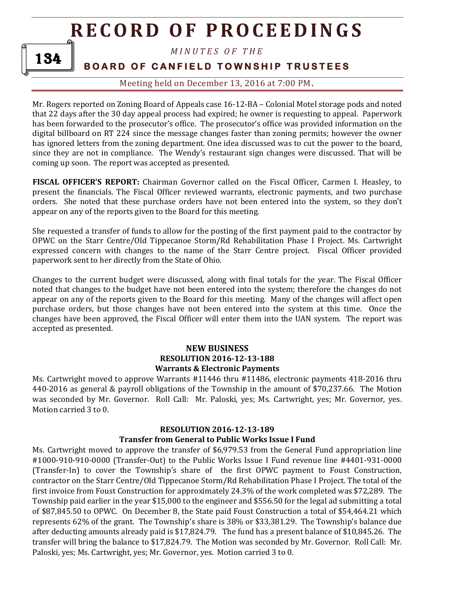

## *M I N U T E S O F T H E*

## **BOARD OF CANFIELD TOWNSHIP TRUSTEES**

Meeting held on December 13, 2016 at 7:00 PM**.**

Mr. Rogers reported on Zoning Board of Appeals case 16-12-BA – Colonial Motel storage pods and noted that 22 days after the 30 day appeal process had expired; he owner is requesting to appeal. Paperwork has been forwarded to the prosecutor's office. The prosecutor's office was provided information on the digital billboard on RT 224 since the message changes faster than zoning permits; however the owner has ignored letters from the zoning department. One idea discussed was to cut the power to the board, since they are not in compliance. The Wendy's restaurant sign changes were discussed. That will be coming up soon. The report was accepted as presented.

**FISCAL OFFICER'S REPORT:** Chairman Governor called on the Fiscal Officer, Carmen I. Heasley, to present the financials. The Fiscal Officer reviewed warrants, electronic payments, and two purchase orders. She noted that these purchase orders have not been entered into the system, so they don't appear on any of the reports given to the Board for this meeting.

She requested a transfer of funds to allow for the posting of the first payment paid to the contractor by OPWC on the Starr Centre/Old Tippecanoe Storm/Rd Rehabilitation Phase I Project. Ms. Cartwright expressed concern with changes to the name of the Starr Centre project. Fiscal Officer provided paperwork sent to her directly from the State of Ohio.

Changes to the current budget were discussed, along with final totals for the year. The Fiscal Officer noted that changes to the budget have not been entered into the system; therefore the changes do not appear on any of the reports given to the Board for this meeting. Many of the changes will affect open purchase orders, but those changes have not been entered into the system at this time. Once the changes have been approved, the Fiscal Officer will enter them into the UAN system. The report was accepted as presented.

### **NEW BUSINESS RESOLUTION 2016-12-13-188 Warrants & Electronic Payments**

Ms. Cartwright moved to approve Warrants #11446 thru #11486, electronic payments 418-2016 thru 440-2016 as general & payroll obligations of the Township in the amount of \$70,237.66. The Motion was seconded by Mr. Governor. Roll Call: Mr. Paloski, yes; Ms. Cartwright, yes; Mr. Governor, yes. Motion carried 3 to 0.

#### **RESOLUTION 2016-12-13-189**

#### **Transfer from General to Public Works Issue I Fund**

Ms. Cartwright moved to approve the transfer of \$6,979.53 from the General Fund appropriation line #1000-910-910-0000 (Transfer-Out) to the Public Works Issue I Fund revenue line #4401-931-0000 (Transfer-In) to cover the Township's share of the first OPWC payment to Foust Construction, contractor on the Starr Centre/Old Tippecanoe Storm/Rd Rehabilitation Phase I Project. The total of the first invoice from Foust Construction for approximately 24.3% of the work completed was \$72,289. The Township paid earlier in the year \$15,000 to the engineer and \$556.50 for the legal ad submitting a total of \$87,845.50 to OPWC. On December 8, the State paid Foust Construction a total of \$54,464.21 which represents 62% of the grant. The Township's share is 38% or \$33,381.29. The Township's balance due after deducting amounts already paid is \$17,824.79. The fund has a present balance of \$10,845.26. The transfer will bring the balance to \$17,824.79. The Motion was seconded by Mr. Governor. Roll Call: Mr. Paloski, yes; Ms. Cartwright, yes; Mr. Governor, yes. Motion carried 3 to 0.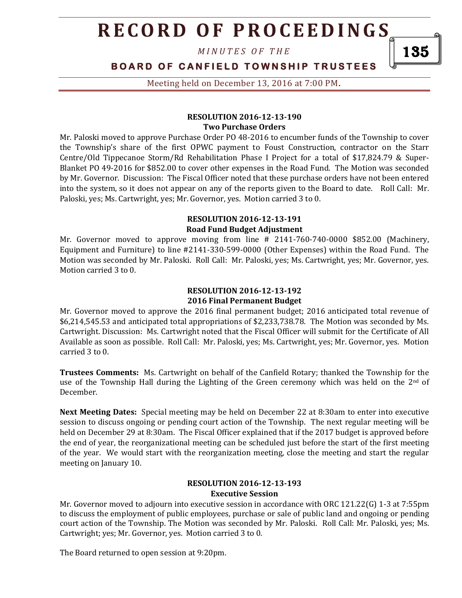*M I N U T E S O F T H E* 

## **BOARD OF CANFIELD TOWNSHIP TRUSTEES**

Meeting held on December 13, 2016 at 7:00 PM**.**

#### **RESOLUTION 2016-12-13-190 Two Purchase Orders**

Mr. Paloski moved to approve Purchase Order PO 48-2016 to encumber funds of the Township to cover the Township's share of the first OPWC payment to Foust Construction, contractor on the Starr Centre/Old Tippecanoe Storm/Rd Rehabilitation Phase I Project for a total of \$17,824.79 & Super-Blanket PO 49-2016 for \$852.00 to cover other expenses in the Road Fund. The Motion was seconded by Mr. Governor. Discussion: The Fiscal Officer noted that these purchase orders have not been entered into the system, so it does not appear on any of the reports given to the Board to date. Roll Call: Mr. Paloski, yes; Ms. Cartwright, yes; Mr. Governor, yes. Motion carried 3 to 0.

#### **RESOLUTION 2016-12-13-191 Road Fund Budget Adjustment**

Mr. Governor moved to approve moving from line # 2141-760-740-0000 \$852.00 (Machinery, Equipment and Furniture) to line #2141-330-599-0000 (Other Expenses) within the Road Fund. The Motion was seconded by Mr. Paloski. Roll Call: Mr. Paloski, yes; Ms. Cartwright, yes; Mr. Governor, yes. Motion carried 3 to 0.

### **RESOLUTION 2016-12-13-192 2016 Final Permanent Budget**

Mr. Governor moved to approve the 2016 final permanent budget; 2016 anticipated total revenue of \$6,214,545.53 and anticipated total appropriations of \$2,233,738.78. The Motion was seconded by Ms. Cartwright. Discussion: Ms. Cartwright noted that the Fiscal Officer will submit for the Certificate of All Available as soon as possible. Roll Call: Mr. Paloski, yes; Ms. Cartwright, yes; Mr. Governor, yes. Motion carried 3 to 0.

**Trustees Comments:** Ms. Cartwright on behalf of the Canfield Rotary; thanked the Township for the use of the Township Hall during the Lighting of the Green ceremony which was held on the  $2<sup>nd</sup>$  of December.

**Next Meeting Dates:** Special meeting may be held on December 22 at 8:30am to enter into executive session to discuss ongoing or pending court action of the Township. The next regular meeting will be held on December 29 at 8:30am. The Fiscal Officer explained that if the 2017 budget is approved before the end of year, the reorganizational meeting can be scheduled just before the start of the first meeting of the year. We would start with the reorganization meeting, close the meeting and start the regular meeting on January 10.

#### **RESOLUTION 2016-12-13-193 Executive Session**

Mr. Governor moved to adjourn into executive session in accordance with ORC 121.22(G) 1-3 at 7:55pm to discuss the employment of public employees, purchase or sale of public land and ongoing or pending court action of the Township. The Motion was seconded by Mr. Paloski. Roll Call: Mr. Paloski, yes; Ms. Cartwright; yes; Mr. Governor, yes. Motion carried 3 to 0.

The Board returned to open session at 9:20pm.

135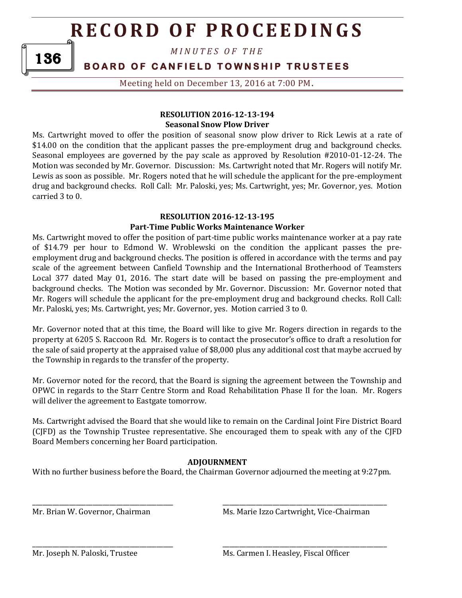*M I N U T E S O F T H E* 

**BOARD OF CANFIELD TOWNSHIP TRUSTEES** 

Meeting held on December 13, 2016 at 7:00 PM**.**

### **RESOLUTION 2016-12-13-194 Seasonal Snow Plow Driver**

Ms. Cartwright moved to offer the position of seasonal snow plow driver to Rick Lewis at a rate of \$14.00 on the condition that the applicant passes the pre-employment drug and background checks. Seasonal employees are governed by the pay scale as approved by Resolution #2010-01-12-24. The Motion was seconded by Mr. Governor. Discussion: Ms. Cartwright noted that Mr. Rogers will notify Mr. Lewis as soon as possible. Mr. Rogers noted that he will schedule the applicant for the pre-employment drug and background checks. Roll Call: Mr. Paloski, yes; Ms. Cartwright, yes; Mr. Governor, yes. Motion carried 3 to 0.

### **RESOLUTION 2016-12-13-195 Part-Time Public Works Maintenance Worker**

Ms. Cartwright moved to offer the position of part-time public works maintenance worker at a pay rate of \$14.79 per hour to Edmond W. Wroblewski on the condition the applicant passes the preemployment drug and background checks. The position is offered in accordance with the terms and pay scale of the agreement between Canfield Township and the International Brotherhood of Teamsters Local 377 dated May 01, 2016. The start date will be based on passing the pre-employment and background checks. The Motion was seconded by Mr. Governor. Discussion: Mr. Governor noted that Mr. Rogers will schedule the applicant for the pre-employment drug and background checks. Roll Call: Mr. Paloski, yes; Ms. Cartwright, yes; Mr. Governor, yes. Motion carried 3 to 0.

Mr. Governor noted that at this time, the Board will like to give Mr. Rogers direction in regards to the property at 6205 S. Raccoon Rd. Mr. Rogers is to contact the prosecutor's office to draft a resolution for the sale of said property at the appraised value of \$8,000 plus any additional cost that maybe accrued by the Township in regards to the transfer of the property.

Mr. Governor noted for the record, that the Board is signing the agreement between the Township and OPWC in regards to the Starr Centre Storm and Road Rehabilitation Phase II for the loan. Mr. Rogers will deliver the agreement to Eastgate tomorrow.

Ms. Cartwright advised the Board that she would like to remain on the Cardinal Joint Fire District Board (CJFD) as the Township Trustee representative. She encouraged them to speak with any of the CJFD Board Members concerning her Board participation.

## **ADJOURNMENT**

With no further business before the Board, the Chairman Governor adjourned the meeting at 9:27pm.

\_\_\_\_\_\_\_\_\_\_\_\_\_\_\_\_\_\_\_\_\_\_\_\_\_\_\_\_\_\_\_\_\_\_\_\_\_\_\_\_\_\_ \_\_\_\_\_\_\_\_\_\_\_\_\_\_\_\_\_\_\_\_\_\_\_\_\_\_\_\_\_\_\_\_\_\_\_\_\_\_\_\_\_\_\_\_\_\_\_\_\_

\_\_\_\_\_\_\_\_\_\_\_\_\_\_\_\_\_\_\_\_\_\_\_\_\_\_\_\_\_\_\_\_\_\_\_\_\_\_\_\_\_\_ \_\_\_\_\_\_\_\_\_\_\_\_\_\_\_\_\_\_\_\_\_\_\_\_\_\_\_\_\_\_\_\_\_\_\_\_\_\_\_\_\_\_\_\_\_\_\_\_\_

Mr. Brian W. Governor, Chairman Ms. Marie Izzo Cartwright, Vice-Chairman

136

Mr. Joseph N. Paloski, Trustee Ms. Carmen I. Heasley, Fiscal Officer